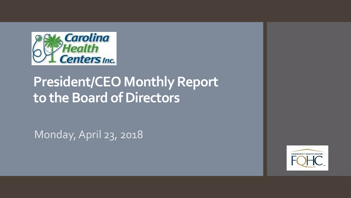

## **President/CEO Monthly Report to the Board of Directors**

Monday, April 23, 2018

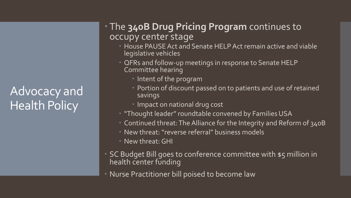## Advocacy and Health Policy

## The **340B Drug Pricing Program** continues to occupy center stage

- **House PAUSE Act and Senate HELP Act remain active and viable** legislative vehicles
- **CFRs** and follow-up meetings in response to Senate HELP Committee hearing
	- Intent of the program
	- **Portion of discount passed on to patients and use of retained** savings
	- **Impact on national drug cost**
- "Thought leader" roundtable convened by Families USA
- Continued threat: The Alliance for the Integrity and Reform of 340B
- New threat: "reverse referral" business models
- New threat: GHI
- SC Budget Bill goes to conference committee with \$5 million in health center funding
- Nurse Practitioner bill poised to become law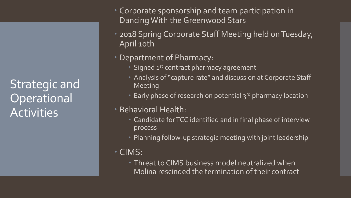Strategic and **Operational** Activities

- Corporate sponsorship and team participation in Dancing With the Greenwood Stars
- 2018 Spring Corporate Staff Meeting held on Tuesday, April 10th
- Department of Pharmacy:
	- Signed 1<sup>st</sup> contract pharmacy agreement
	- Analysis of "capture rate" and discussion at Corporate Staff Meeting
	- Early phase of research on potential 3<sup>rd</sup> pharmacy location
- Behavioral Health:
	- Candidate for TCC identified and in final phase of interview process
	- Planning follow-up strategic meeting with joint leadership
- CIMS:
	- Threat to CIMS business model neutralized when Molina rescinded the termination of their contract